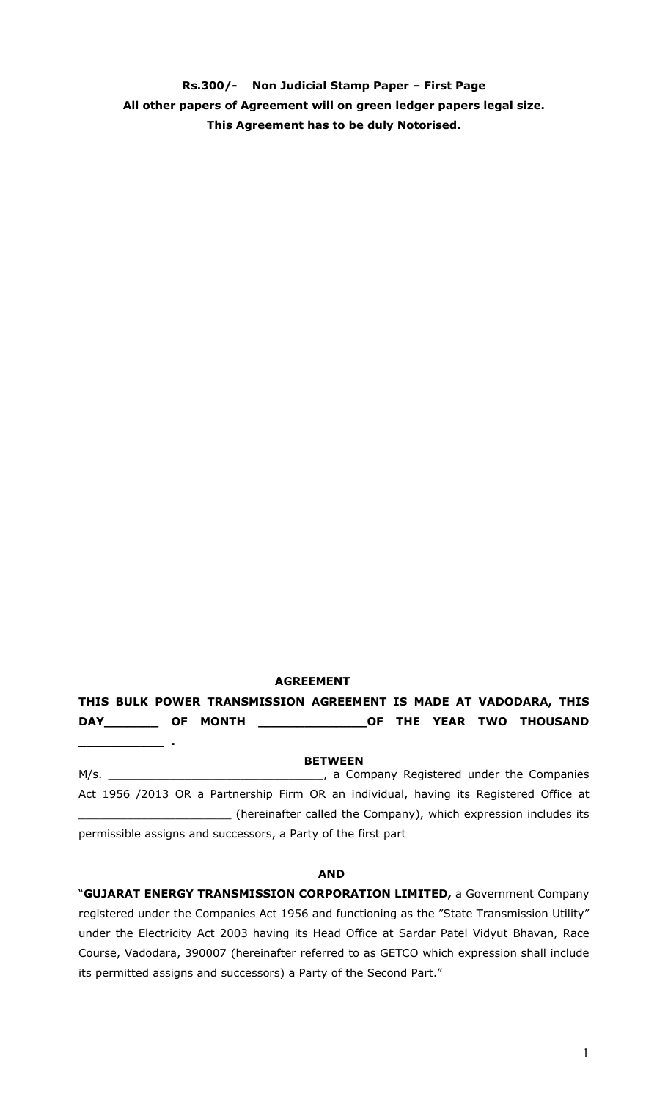**Rs.300/- Non Judicial Stamp Paper – First Page All other papers of Agreement will on green ledger papers legal size. This Agreement has to be duly Notorised.** 

## **AGREEMENT**

**\_\_\_\_\_\_\_\_\_\_\_ .** 

# **THIS BULK POWER TRANSMISSION AGREEMENT IS MADE AT VADODARA, THIS DAY\_\_\_\_\_\_\_ OF MONTH \_\_\_\_\_\_\_\_\_\_\_\_\_\_OF THE YEAR TWO THOUSAND**

**BETWEEN**  M/s. \_\_\_\_\_\_\_\_\_\_\_\_\_\_\_\_\_\_\_\_\_\_\_\_\_\_\_\_\_\_\_, a Company Registered under the Companies Act 1956 /2013 OR a Partnership Firm OR an individual, having its Registered Office at \_\_\_\_\_\_\_\_\_\_\_\_\_\_\_\_\_\_\_\_\_\_ (hereinafter called the Company), which expression includes its permissible assigns and successors, a Party of the first part

#### **AND**

"**GUJARAT ENERGY TRANSMISSION CORPORATION LIMITED,** a Government Company registered under the Companies Act 1956 and functioning as the "State Transmission Utility" under the Electricity Act 2003 having its Head Office at Sardar Patel Vidyut Bhavan, Race Course, Vadodara, 390007 (hereinafter referred to as GETCO which expression shall include its permitted assigns and successors) a Party of the Second Part."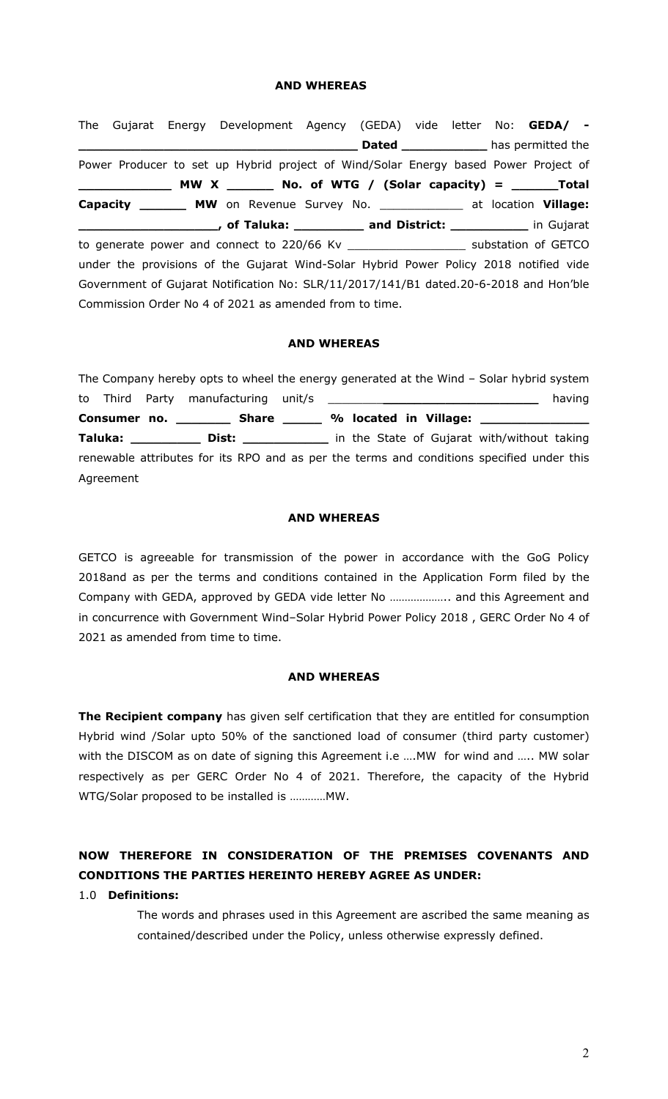#### **AND WHEREAS**

The Gujarat Energy Development Agency (GEDA) vide letter No: **GEDA/ - Example 2 Dated \_\_\_\_\_\_\_\_\_\_\_\_\_\_** has permitted the Power Producer to set up Hybrid project of Wind/Solar Energy based Power Project of **\_\_\_\_\_\_\_\_\_\_\_\_ MW X \_\_\_\_\_\_ No. of WTG / (Solar capacity) = \_\_\_\_\_\_Total Capacity \_\_\_\_\_\_ MW** on Revenue Survey No. \_\_\_\_\_\_\_\_\_\_\_\_ at location **Village: Lacccificial Contract Contract Contract Contract Contract Contract Contract Contract Contract Contract Contract** Contract Contract Contract Contract Contract Contract Contract Contract Contract Contract Contract Contract to generate power and connect to 220/66 Kv \_\_\_\_\_\_\_\_\_\_\_\_\_\_\_\_\_ substation of GETCO under the provisions of the Gujarat Wind-Solar Hybrid Power Policy 2018 notified vide Government of Gujarat Notification No: SLR/11/2017/141/B1 dated.20-6-2018 and Hon'ble Commission Order No 4 of 2021 as amended from to time.

#### **AND WHEREAS**

The Company hereby opts to wheel the energy generated at the Wind – Solar hybrid system to Third Party manufacturing unit/s \_\_\_\_\_\_\_\_**\_\_\_\_\_\_\_\_\_\_\_\_\_\_\_\_\_\_\_\_** having Consumer no. \_\_\_\_\_\_\_\_\_ Share \_\_\_\_\_\_ % located in Village: \_\_\_\_\_\_\_ **Taluka: \_\_\_\_\_\_\_\_\_ Dist: \_\_\_\_\_\_\_\_\_\_\_** in the State of Gujarat with/without taking renewable attributes for its RPO and as per the terms and conditions specified under this Agreement

#### **AND WHEREAS**

GETCO is agreeable for transmission of the power in accordance with the GoG Policy 2018and as per the terms and conditions contained in the Application Form filed by the Company with GEDA, approved by GEDA vide letter No ……………….. and this Agreement and in concurrence with Government Wind–Solar Hybrid Power Policy 2018 , GERC Order No 4 of 2021 as amended from time to time.

#### **AND WHEREAS**

**The Recipient company** has given self certification that they are entitled for consumption Hybrid wind /Solar upto 50% of the sanctioned load of consumer (third party customer) with the DISCOM as on date of signing this Agreement i.e .... MW for wind and ..... MW solar respectively as per GERC Order No 4 of 2021. Therefore, the capacity of the Hybrid WTG/Solar proposed to be installed is …………MW.

# **NOW THEREFORE IN CONSIDERATION OF THE PREMISES COVENANTS AND CONDITIONS THE PARTIES HEREINTO HEREBY AGREE AS UNDER:**

#### 1.0 **Definitions:**

The words and phrases used in this Agreement are ascribed the same meaning as contained/described under the Policy, unless otherwise expressly defined.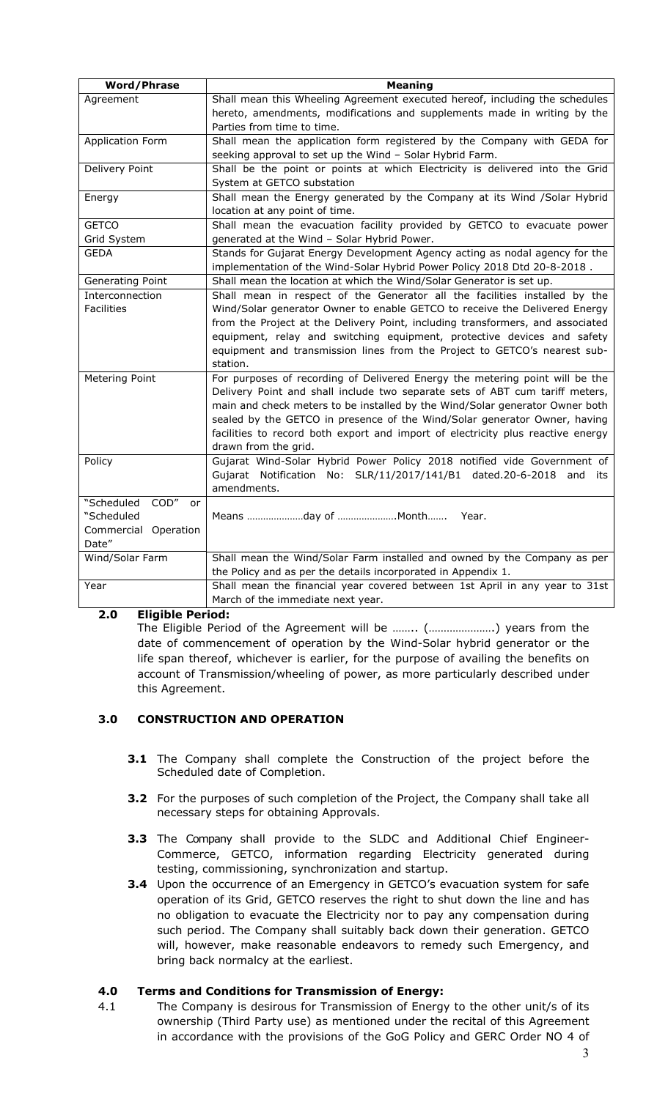| <b>Word/Phrase</b>            | <b>Meaning</b>                                                                  |
|-------------------------------|---------------------------------------------------------------------------------|
| Agreement                     | Shall mean this Wheeling Agreement executed hereof, including the schedules     |
|                               | hereto, amendments, modifications and supplements made in writing by the        |
|                               | Parties from time to time.                                                      |
| <b>Application Form</b>       | Shall mean the application form registered by the Company with GEDA for         |
|                               | seeking approval to set up the Wind - Solar Hybrid Farm.                        |
| Delivery Point                | Shall be the point or points at which Electricity is delivered into the Grid    |
|                               | System at GETCO substation                                                      |
| Energy                        | Shall mean the Energy generated by the Company at its Wind /Solar Hybrid        |
|                               | location at any point of time.                                                  |
| <b>GETCO</b>                  | Shall mean the evacuation facility provided by GETCO to evacuate power          |
| Grid System                   | generated at the Wind - Solar Hybrid Power.                                     |
| GEDA                          | Stands for Gujarat Energy Development Agency acting as nodal agency for the     |
|                               | implementation of the Wind-Solar Hybrid Power Policy 2018 Dtd 20-8-2018.        |
| Generating Point              | Shall mean the location at which the Wind/Solar Generator is set up.            |
| Interconnection               | Shall mean in respect of the Generator all the facilities installed by the      |
| <b>Facilities</b>             | Wind/Solar generator Owner to enable GETCO to receive the Delivered Energy      |
|                               | from the Project at the Delivery Point, including transformers, and associated  |
|                               | equipment, relay and switching equipment, protective devices and safety         |
|                               | equipment and transmission lines from the Project to GETCO's nearest sub-       |
|                               | station.                                                                        |
| Metering Point                | For purposes of recording of Delivered Energy the metering point will be the    |
|                               | Delivery Point and shall include two separate sets of ABT cum tariff meters,    |
|                               | main and check meters to be installed by the Wind/Solar generator Owner both    |
|                               | sealed by the GETCO in presence of the Wind/Solar generator Owner, having       |
|                               | facilities to record both export and import of electricity plus reactive energy |
|                               | drawn from the grid.                                                            |
| Policy                        | Gujarat Wind-Solar Hybrid Power Policy 2018 notified vide Government of         |
|                               | Gujarat Notification No:<br>SLR/11/2017/141/B1 dated.20-6-2018<br>and its       |
|                               | amendments.                                                                     |
| "Scheduled<br>COD"<br>or      |                                                                                 |
| "Scheduled                    | Means day of Month Year.                                                        |
| Commercial Operation<br>Date" |                                                                                 |
| Wind/Solar Farm               | Shall mean the Wind/Solar Farm installed and owned by the Company as per        |
|                               | the Policy and as per the details incorporated in Appendix 1.                   |
| Year                          | Shall mean the financial year covered between 1st April in any year to 31st     |
|                               | March of the immediate next year.                                               |
|                               |                                                                                 |

## **2.0 Eligible Period:**

The Eligible Period of the Agreement will be …….. (………………….) years from the date of commencement of operation by the Wind-Solar hybrid generator or the life span thereof, whichever is earlier, for the purpose of availing the benefits on account of Transmission/wheeling of power, as more particularly described under this Agreement.

## **3.0 CONSTRUCTION AND OPERATION**

- **3.1** The Company shall complete the Construction of the project before the Scheduled date of Completion.
- **3.2** For the purposes of such completion of the Project, the Company shall take all necessary steps for obtaining Approvals.
- **3.3** The Company shall provide to the SLDC and Additional Chief Engineer-Commerce, GETCO, information regarding Electricity generated during testing, commissioning, synchronization and startup.
- **3.4** Upon the occurrence of an Emergency in GETCO's evacuation system for safe operation of its Grid, GETCO reserves the right to shut down the line and has no obligation to evacuate the Electricity nor to pay any compensation during such period. The Company shall suitably back down their generation. GETCO will, however, make reasonable endeavors to remedy such Emergency, and bring back normalcy at the earliest.

## **4.0 Terms and Conditions for Transmission of Energy:**

4.1 The Company is desirous for Transmission of Energy to the other unit/s of its ownership (Third Party use) as mentioned under the recital of this Agreement in accordance with the provisions of the GoG Policy and GERC Order NO 4 of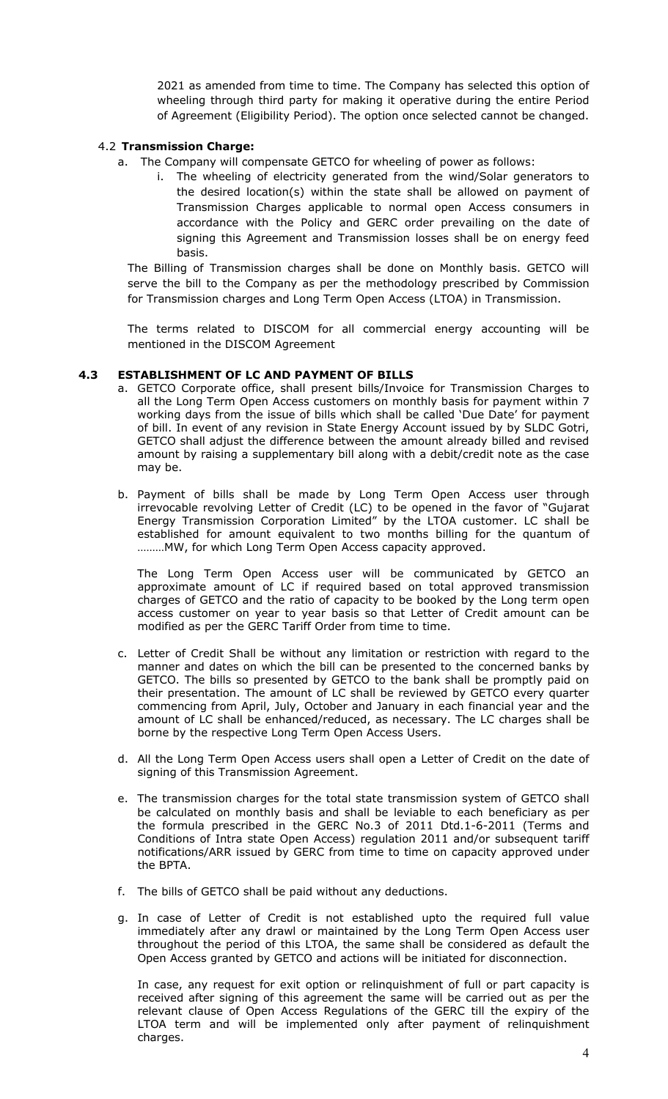2021 as amended from time to time. The Company has selected this option of wheeling through third party for making it operative during the entire Period of Agreement (Eligibility Period). The option once selected cannot be changed.

#### 4.2 **Transmission Charge:**

- a. The Company will compensate GETCO for wheeling of power as follows:
	- i. The wheeling of electricity generated from the wind/Solar generators to the desired location(s) within the state shall be allowed on payment of Transmission Charges applicable to normal open Access consumers in accordance with the Policy and GERC order prevailing on the date of signing this Agreement and Transmission losses shall be on energy feed basis.

The Billing of Transmission charges shall be done on Monthly basis. GETCO will serve the bill to the Company as per the methodology prescribed by Commission for Transmission charges and Long Term Open Access (LTOA) in Transmission.

The terms related to DISCOM for all commercial energy accounting will be mentioned in the DISCOM Agreement

#### **4.3 ESTABLISHMENT OF LC AND PAYMENT OF BILLS**

- a. GETCO Corporate office, shall present bills/Invoice for Transmission Charges to all the Long Term Open Access customers on monthly basis for payment within 7 working days from the issue of bills which shall be called 'Due Date' for payment of bill. In event of any revision in State Energy Account issued by by SLDC Gotri, GETCO shall adjust the difference between the amount already billed and revised amount by raising a supplementary bill along with a debit/credit note as the case may be.
- b. Payment of bills shall be made by Long Term Open Access user through irrevocable revolving Letter of Credit (LC) to be opened in the favor of "Gujarat Energy Transmission Corporation Limited" by the LTOA customer. LC shall be established for amount equivalent to two months billing for the quantum of ………MW, for which Long Term Open Access capacity approved.

The Long Term Open Access user will be communicated by GETCO an approximate amount of LC if required based on total approved transmission charges of GETCO and the ratio of capacity to be booked by the Long term open access customer on year to year basis so that Letter of Credit amount can be modified as per the GERC Tariff Order from time to time.

- c. Letter of Credit Shall be without any limitation or restriction with regard to the manner and dates on which the bill can be presented to the concerned banks by GETCO. The bills so presented by GETCO to the bank shall be promptly paid on their presentation. The amount of LC shall be reviewed by GETCO every quarter commencing from April, July, October and January in each financial year and the amount of LC shall be enhanced/reduced, as necessary. The LC charges shall be borne by the respective Long Term Open Access Users.
- d. All the Long Term Open Access users shall open a Letter of Credit on the date of signing of this Transmission Agreement.
- e. The transmission charges for the total state transmission system of GETCO shall be calculated on monthly basis and shall be leviable to each beneficiary as per the formula prescribed in the GERC No.3 of 2011 Dtd.1-6-2011 (Terms and Conditions of Intra state Open Access) regulation 2011 and/or subsequent tariff notifications/ARR issued by GERC from time to time on capacity approved under the BPTA.
- f. The bills of GETCO shall be paid without any deductions.
- g. In case of Letter of Credit is not established upto the required full value immediately after any drawl or maintained by the Long Term Open Access user throughout the period of this LTOA, the same shall be considered as default the Open Access granted by GETCO and actions will be initiated for disconnection.

In case, any request for exit option or relinquishment of full or part capacity is received after signing of this agreement the same will be carried out as per the relevant clause of Open Access Regulations of the GERC till the expiry of the LTOA term and will be implemented only after payment of relinquishment charges.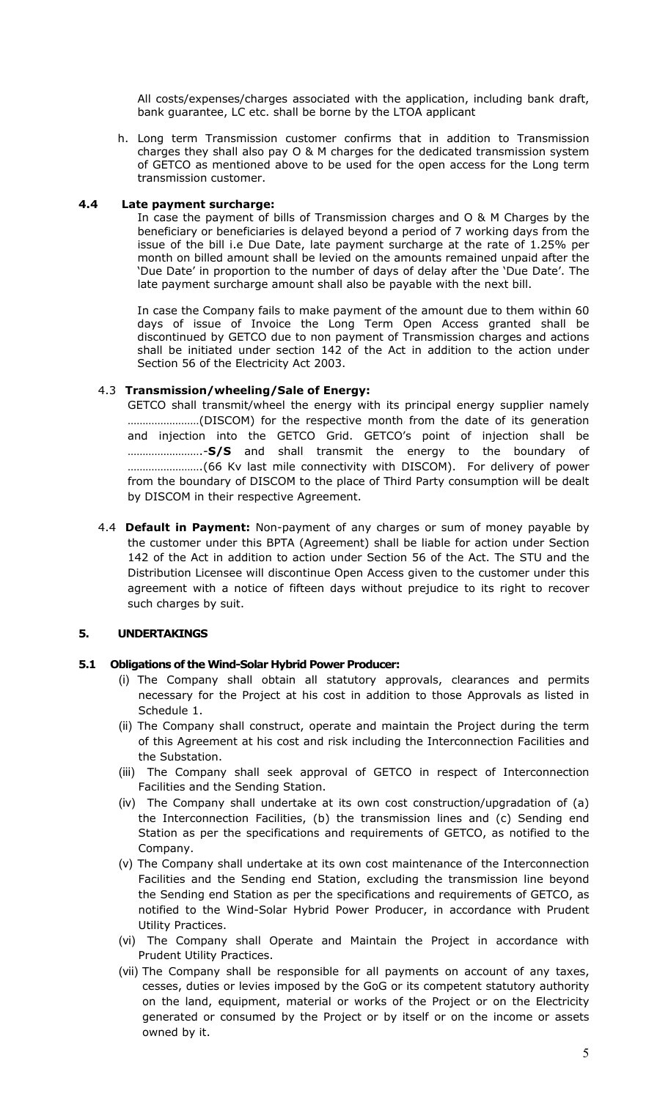All costs/expenses/charges associated with the application, including bank draft, bank guarantee, LC etc. shall be borne by the LTOA applicant

h. Long term Transmission customer confirms that in addition to Transmission charges they shall also pay O & M charges for the dedicated transmission system of GETCO as mentioned above to be used for the open access for the Long term transmission customer.

#### **4.4 Late payment surcharge:**

In case the payment of bills of Transmission charges and O & M Charges by the beneficiary or beneficiaries is delayed beyond a period of 7 working days from the issue of the bill i.e Due Date, late payment surcharge at the rate of 1.25% per month on billed amount shall be levied on the amounts remained unpaid after the 'Due Date' in proportion to the number of days of delay after the 'Due Date'. The late payment surcharge amount shall also be payable with the next bill.

In case the Company fails to make payment of the amount due to them within 60 days of issue of Invoice the Long Term Open Access granted shall be discontinued by GETCO due to non payment of Transmission charges and actions shall be initiated under section 142 of the Act in addition to the action under Section 56 of the Electricity Act 2003.

#### 4.3 **Transmission/wheeling/Sale of Energy:**

GETCO shall transmit/wheel the energy with its principal energy supplier namely ……………………(DISCOM) for the respective month from the date of its generation and injection into the GETCO Grid. GETCO's point of injection shall be …………………….-**S/S** and shall transmit the energy to the boundary of …………………….(66 Kv last mile connectivity with DISCOM). For delivery of power from the boundary of DISCOM to the place of Third Party consumption will be dealt by DISCOM in their respective Agreement.

4.4 **Default in Payment:** Non-payment of any charges or sum of money payable by the customer under this BPTA (Agreement) shall be liable for action under Section 142 of the Act in addition to action under Section 56 of the Act. The STU and the Distribution Licensee will discontinue Open Access given to the customer under this agreement with a notice of fifteen days without prejudice to its right to recover such charges by suit.

## **5. UNDERTAKINGS**

## **5.1 Obligations of the Wind-Solar Hybrid Power Producer:**

- (i) The Company shall obtain all statutory approvals, clearances and permits necessary for the Project at his cost in addition to those Approvals as listed in Schedule 1.
- (ii) The Company shall construct, operate and maintain the Project during the term of this Agreement at his cost and risk including the Interconnection Facilities and the Substation.
- (iii) The Company shall seek approval of GETCO in respect of Interconnection Facilities and the Sending Station.
- (iv) The Company shall undertake at its own cost construction/upgradation of (a) the Interconnection Facilities, (b) the transmission lines and (c) Sending end Station as per the specifications and requirements of GETCO, as notified to the Company.
- (v) The Company shall undertake at its own cost maintenance of the Interconnection Facilities and the Sending end Station, excluding the transmission line beyond the Sending end Station as per the specifications and requirements of GETCO, as notified to the Wind-Solar Hybrid Power Producer, in accordance with Prudent Utility Practices.
- (vi) The Company shall Operate and Maintain the Project in accordance with Prudent Utility Practices.
- (vii) The Company shall be responsible for all payments on account of any taxes, cesses, duties or levies imposed by the GoG or its competent statutory authority on the land, equipment, material or works of the Project or on the Electricity generated or consumed by the Project or by itself or on the income or assets owned by it.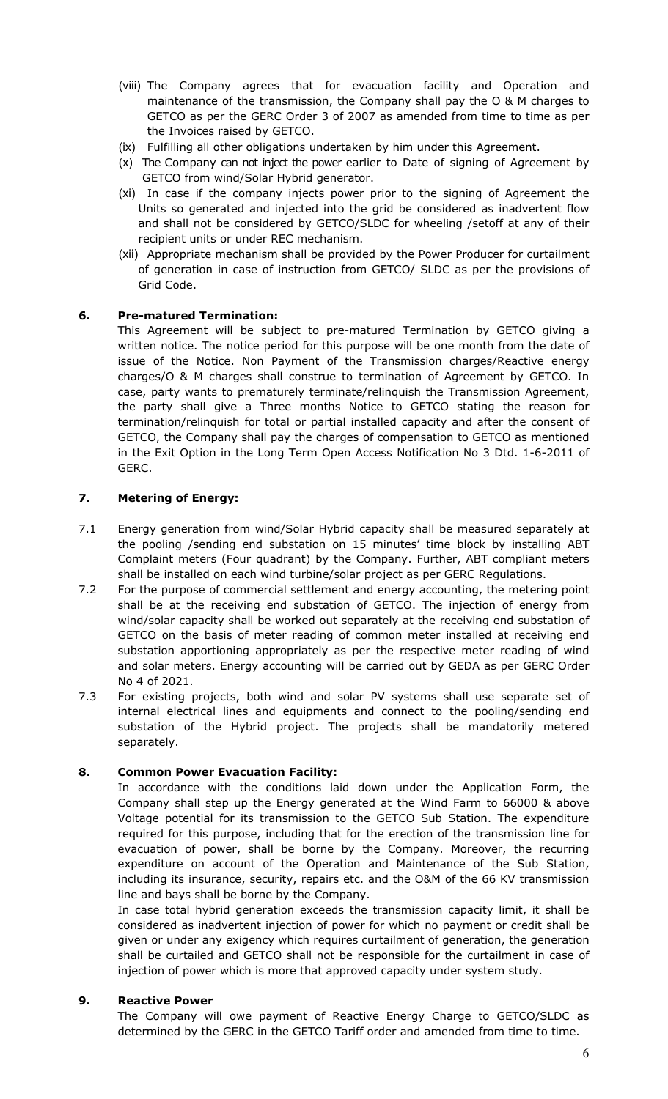- (viii) The Company agrees that for evacuation facility and Operation and maintenance of the transmission, the Company shall pay the O & M charges to GETCO as per the GERC Order 3 of 2007 as amended from time to time as per the Invoices raised by GETCO.
- (ix) Fulfilling all other obligations undertaken by him under this Agreement.
- (x) The Company can not inject the power earlier to Date of signing of Agreement by GETCO from wind/Solar Hybrid generator.
- (xi) In case if the company injects power prior to the signing of Agreement the Units so generated and injected into the grid be considered as inadvertent flow and shall not be considered by GETCO/SLDC for wheeling /setoff at any of their recipient units or under REC mechanism.
- (xii) Appropriate mechanism shall be provided by the Power Producer for curtailment of generation in case of instruction from GETCO/ SLDC as per the provisions of Grid Code.

## **6. Pre-matured Termination:**

This Agreement will be subject to pre-matured Termination by GETCO giving a written notice. The notice period for this purpose will be one month from the date of issue of the Notice. Non Payment of the Transmission charges/Reactive energy charges/O & M charges shall construe to termination of Agreement by GETCO. In case, party wants to prematurely terminate/relinquish the Transmission Agreement, the party shall give a Three months Notice to GETCO stating the reason for termination/relinquish for total or partial installed capacity and after the consent of GETCO, the Company shall pay the charges of compensation to GETCO as mentioned in the Exit Option in the Long Term Open Access Notification No 3 Dtd. 1-6-2011 of GERC.

## **7. Metering of Energy:**

- 7.1 Energy generation from wind/Solar Hybrid capacity shall be measured separately at the pooling /sending end substation on 15 minutes' time block by installing ABT Complaint meters (Four quadrant) by the Company. Further, ABT compliant meters shall be installed on each wind turbine/solar project as per GERC Regulations.
- 7.2 For the purpose of commercial settlement and energy accounting, the metering point shall be at the receiving end substation of GETCO. The injection of energy from wind/solar capacity shall be worked out separately at the receiving end substation of GETCO on the basis of meter reading of common meter installed at receiving end substation apportioning appropriately as per the respective meter reading of wind and solar meters. Energy accounting will be carried out by GEDA as per GERC Order No 4 of 2021.
- 7.3 For existing projects, both wind and solar PV systems shall use separate set of internal electrical lines and equipments and connect to the pooling/sending end substation of the Hybrid project. The projects shall be mandatorily metered separately.

## **8. Common Power Evacuation Facility:**

In accordance with the conditions laid down under the Application Form, the Company shall step up the Energy generated at the Wind Farm to 66000 & above Voltage potential for its transmission to the GETCO Sub Station. The expenditure required for this purpose, including that for the erection of the transmission line for evacuation of power, shall be borne by the Company. Moreover, the recurring expenditure on account of the Operation and Maintenance of the Sub Station, including its insurance, security, repairs etc. and the O&M of the 66 KV transmission line and bays shall be borne by the Company.

In case total hybrid generation exceeds the transmission capacity limit, it shall be considered as inadvertent injection of power for which no payment or credit shall be given or under any exigency which requires curtailment of generation, the generation shall be curtailed and GETCO shall not be responsible for the curtailment in case of injection of power which is more that approved capacity under system study.

## **9. Reactive Power**

The Company will owe payment of Reactive Energy Charge to GETCO/SLDC as determined by the GERC in the GETCO Tariff order and amended from time to time.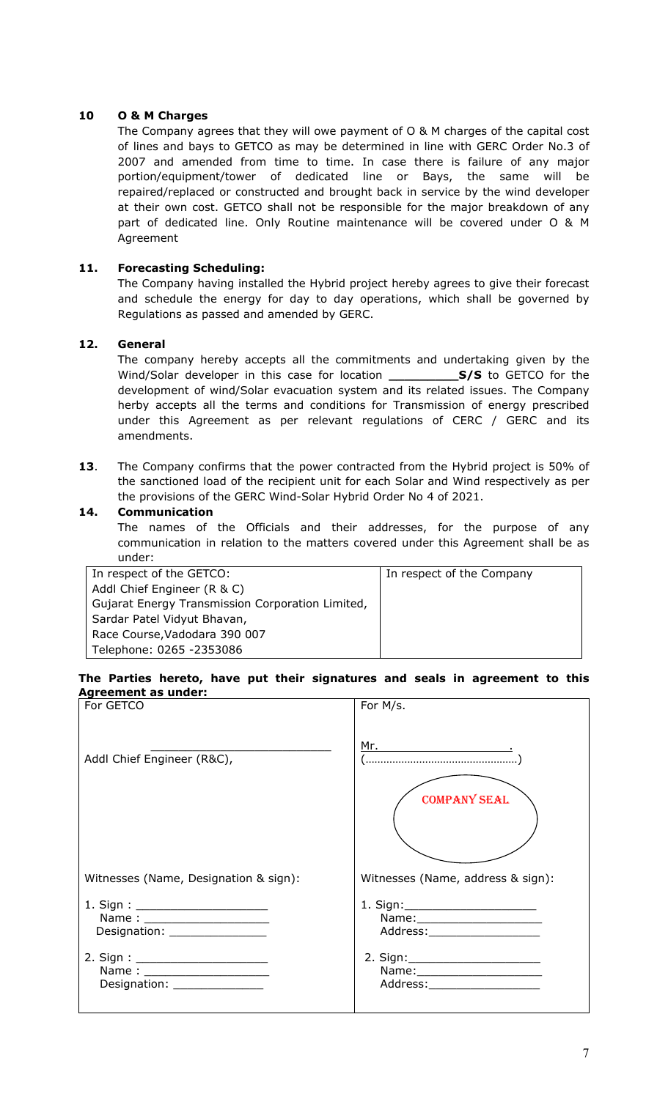## **10 O & M Charges**

The Company agrees that they will owe payment of O & M charges of the capital cost of lines and bays to GETCO as may be determined in line with GERC Order No.3 of 2007 and amended from time to time. In case there is failure of any major portion/equipment/tower of dedicated line or Bays, the same will be repaired/replaced or constructed and brought back in service by the wind developer at their own cost. GETCO shall not be responsible for the major breakdown of any part of dedicated line. Only Routine maintenance will be covered under O & M Agreement

## **11. Forecasting Scheduling:**

The Company having installed the Hybrid project hereby agrees to give their forecast and schedule the energy for day to day operations, which shall be governed by Regulations as passed and amended by GERC.

## **12. General**

The company hereby accepts all the commitments and undertaking given by the Wind/Solar developer in this case for location **\_\_\_\_\_\_\_\_\_S/S** to GETCO for the development of wind/Solar evacuation system and its related issues. The Company herby accepts all the terms and conditions for Transmission of energy prescribed under this Agreement as per relevant regulations of CERC / GERC and its amendments.

**13**. The Company confirms that the power contracted from the Hybrid project is 50% of the sanctioned load of the recipient unit for each Solar and Wind respectively as per the provisions of the GERC Wind-Solar Hybrid Order No 4 of 2021.

#### **14. Communication**

The names of the Officials and their addresses, for the purpose of any communication in relation to the matters covered under this Agreement shall be as under:

| In respect of the Company |
|---------------------------|
|                           |
|                           |
|                           |
|                           |
|                           |
|                           |

#### **The Parties hereto, have put their signatures and seals in agreement to this Agreement as under:**

| For GETCO                                                                                      | For M/s.                                                                                                                                                                                                                                                                                                                                                                                                                                                                                                                                                                                       |
|------------------------------------------------------------------------------------------------|------------------------------------------------------------------------------------------------------------------------------------------------------------------------------------------------------------------------------------------------------------------------------------------------------------------------------------------------------------------------------------------------------------------------------------------------------------------------------------------------------------------------------------------------------------------------------------------------|
| Addl Chief Engineer (R&C),                                                                     | $\underbrace{\mathsf{Mr.}\qquad \qquad \qquad }\qquad \qquad }\qquad \qquad \cdot \qquad \qquad \cdot \qquad \qquad \cdot \qquad \qquad \cdot \qquad \qquad \cdot \qquad \qquad \cdot \qquad \qquad \cdot \qquad \qquad \cdot \qquad \qquad \cdot \qquad \qquad \cdot \qquad \qquad \cdot \qquad \qquad \cdot \qquad \qquad \cdot \qquad \qquad \cdot \qquad \qquad \cdot \qquad \qquad \cdot \qquad \qquad \cdot \qquad \qquad \cdot \qquad \qquad \cdot \qquad \qquad \cdot \qquad \qquad \cdot \qquad \qquad \cdot \qquad \qquad \cdot \qquad \qquad \cdot \qquad \$<br><b>COMPANY SEAL</b> |
| Witnesses (Name, Designation & sign):                                                          | Witnesses (Name, address & sign):                                                                                                                                                                                                                                                                                                                                                                                                                                                                                                                                                              |
| 1. Sign : _____________________<br>Name: ____________________<br>Designation: ________________ | 1. Sign: _________________________<br>Name: _______________________<br>Address:______________________                                                                                                                                                                                                                                                                                                                                                                                                                                                                                          |
| Name: ________________________<br>Designation: _______________                                 | Name: ________________________<br>Address:______________________                                                                                                                                                                                                                                                                                                                                                                                                                                                                                                                               |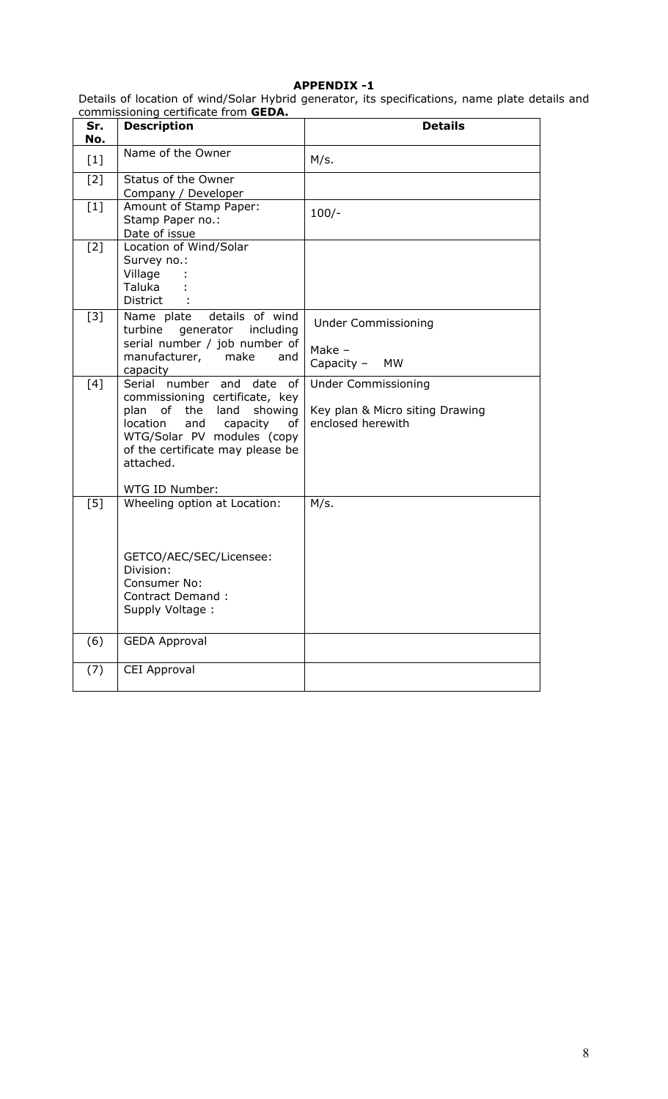## **APPENDIX -1**

Details of location of wind/Solar Hybrid generator, its specifications, name plate details and commissioning certificate from **GEDA.** 

| Sr.<br>No. | <b>Description</b>                                                                                                                                                                                                  | <b>Details</b>                                                                     |
|------------|---------------------------------------------------------------------------------------------------------------------------------------------------------------------------------------------------------------------|------------------------------------------------------------------------------------|
| $[1]$      | Name of the Owner                                                                                                                                                                                                   | M/s.                                                                               |
| $[2]$      | Status of the Owner                                                                                                                                                                                                 |                                                                                    |
| $[1]$      | Company / Developer<br>Amount of Stamp Paper:<br>Stamp Paper no.:<br>Date of issue                                                                                                                                  | $100/-$                                                                            |
| $[2]$      | Location of Wind/Solar<br>Survey no.:<br>Village<br>Taluka<br><b>District</b>                                                                                                                                       |                                                                                    |
| $[3]$      | Name plate details of wind<br>turbine generator including<br>serial number / job number of<br>manufacturer, make<br>and<br>capacity                                                                                 | <b>Under Commissioning</b><br>Make $-$<br>Capacity -<br>MW                         |
| [4]        | Serial number and date<br>- of<br>commissioning certificate, key<br>plan of the land<br>showing<br>location<br>and<br>capacity<br>of<br>WTG/Solar PV modules (copy<br>of the certificate may please be<br>attached. | <b>Under Commissioning</b><br>Key plan & Micro siting Drawing<br>enclosed herewith |
|            | WTG ID Number:                                                                                                                                                                                                      |                                                                                    |
| [5]        | Wheeling option at Location:<br>GETCO/AEC/SEC/Licensee:<br>Division:<br>Consumer No:<br>Contract Demand:<br>Supply Voltage:                                                                                         | M/s.                                                                               |
| (6)        | <b>GEDA Approval</b>                                                                                                                                                                                                |                                                                                    |
| (7)        | CEI Approval                                                                                                                                                                                                        |                                                                                    |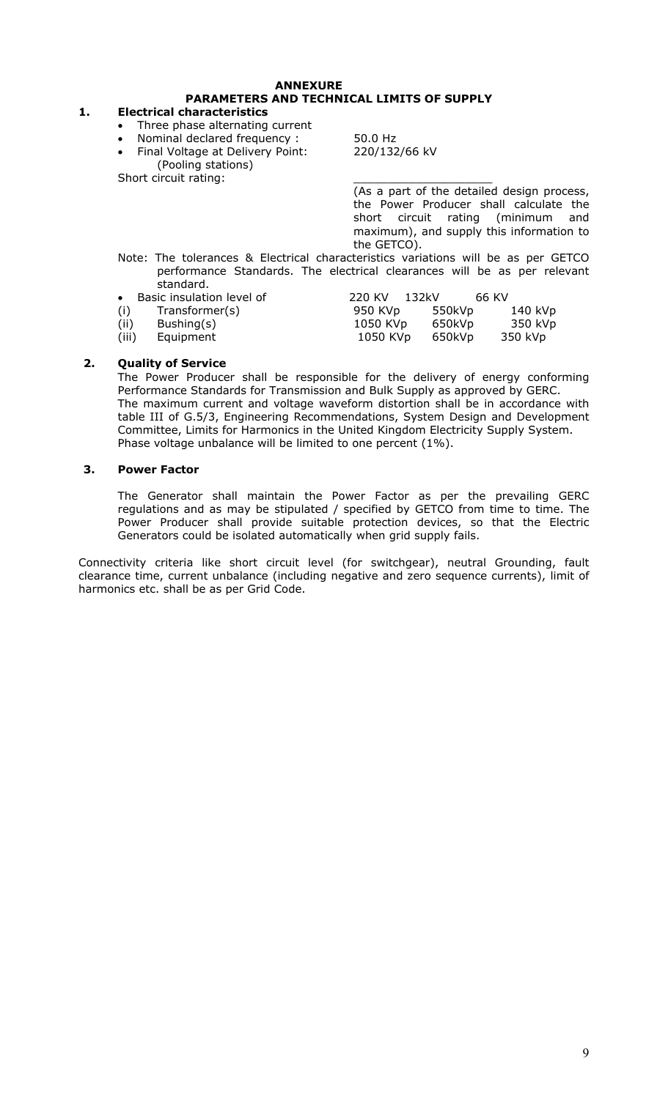## **ANNEXURE PARAMETERS AND TECHNICAL LIMITS OF SUPPLY**

#### **1. Electrical characteristics**

- Three phase alternating current
- Nominal declared frequency : 50.0 Hz
- Final Voltage at Delivery Point: 220/132/66 kV (Pooling stations)

Short circuit rating:

 (As a part of the detailed design process, the Power Producer shall calculate the short circuit rating (minimum and maximum), and supply this information to the GETCO).

- Note: The tolerances & Electrical characteristics variations will be as per GETCO performance Standards. The electrical clearances will be as per relevant standard.
- Basic insulation level of 220 KV 132kV 66 KV
- (i) Transformer(s) 950 KVp 550kVp 140 kVp<br>(ii) Bushing(s) 1050 KVp 650kVp 350 kVp

 $(ii)$  Bushing $(s)$ 

(iii) Equipment 1050 KVp 650kVp 350 kVp

**2. Quality of Service**  The Power Producer shall be responsible for the delivery of energy conforming Performance Standards for Transmission and Bulk Supply as approved by GERC. The maximum current and voltage waveform distortion shall be in accordance with table III of G.5/3, Engineering Recommendations, System Design and Development Committee, Limits for Harmonics in the United Kingdom Electricity Supply System. Phase voltage unbalance will be limited to one percent (1%).

## **3. Power Factor**

The Generator shall maintain the Power Factor as per the prevailing GERC regulations and as may be stipulated / specified by GETCO from time to time. The Power Producer shall provide suitable protection devices, so that the Electric Generators could be isolated automatically when grid supply fails.

Connectivity criteria like short circuit level (for switchgear), neutral Grounding, fault clearance time, current unbalance (including negative and zero sequence currents), limit of harmonics etc. shall be as per Grid Code.